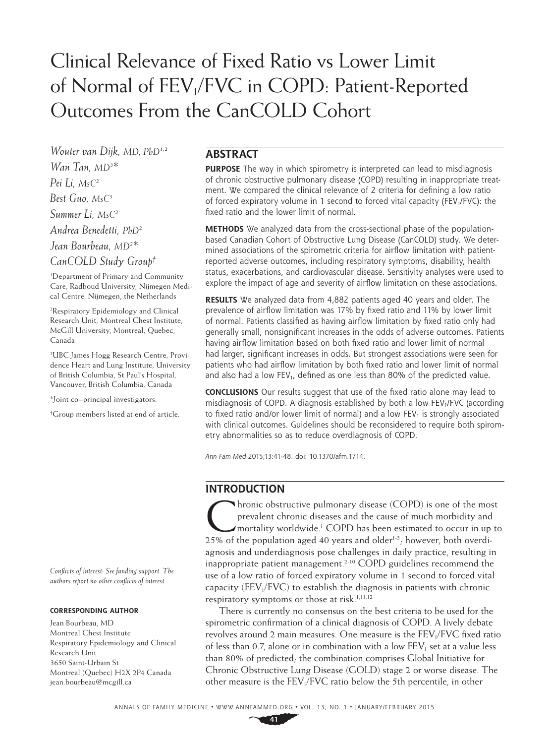# Clinical Relevance of Fixed Ratio vs Lower Limit of Normal of FEV<sub>1</sub>/FVC in COPD: Patient-Reported Outcomes From the CanCOLD Cohort

*Wouter van Dijk, MD, PhD1,2 Wan Tan, MD3 \* Pei Li, MsC2 Best Guo, MsC3 Summer Li, MsC3 Andrea Benedetti, PhD2 Jean Bourbeau, MD2 \* CanCOLD Study Group†*

1 Department of Primary and Community Care, Radboud University, Nijmegen Medical Centre, Nijmegen, the Netherlands

2 Respiratory Epidemiology and Clinical Research Unit, Montreal Chest Institute, McGill University, Montreal, Quebec, Canada

3 UBC James Hogg Research Centre, Providence Heart and Lung Institute, University of British Columbia, St Paul's Hospital, Vancouver, British Columbia, Canada

\*Joint co–principal investigators.

† Group members listed at end of article.

*Conflicts of interest: See funding support. The authors report no other conflicts of interest.*

#### **CORRESPONDING AUTHOR**

Jean Bourbeau, MD Montreal Chest Institute Respiratory Epidemiology and Clinical Research Unit 3650 Saint-Urbain St Montreal (Quebec) H2X 2P4 Canada jean.bourbeau@mcgill.ca

# **ABSTRACT**

**PURPOSE** The way in which spirometry is interpreted can lead to misdiagnosis of chronic obstructive pulmonary disease (COPD) resulting in inappropriate treatment. We compared the clinical relevance of 2 criteria for defining a low ratio of forced expiratory volume in 1 second to forced vital capacity (FEV<sub>1</sub>/FVC): the fixed ratio and the lower limit of normal.

**METHODS** We analyzed data from the cross-sectional phase of the populationbased Canadian Cohort of Obstructive Lung Disease (CanCOLD) study. We determined associations of the spirometric criteria for airflow limitation with patientreported adverse outcomes, including respiratory symptoms, disability, health status, exacerbations, and cardiovascular disease. Sensitivity analyses were used to explore the impact of age and severity of airflow limitation on these associations.

**RESULTS** We analyzed data from 4,882 patients aged 40 years and older. The prevalence of airflow limitation was 17% by fixed ratio and 11% by lower limit of normal. Patients classified as having airflow limitation by fixed ratio only had generally small, nonsignificant increases in the odds of adverse outcomes. Patients having airflow limitation based on both fixed ratio and lower limit of normal had larger, significant increases in odds. But strongest associations were seen for patients who had airflow limitation by both fixed ratio and lower limit of normal and also had a low FEV<sub>1</sub>, defined as one less than 80% of the predicted value.

**CONCLUSIONS** Our results suggest that use of the fixed ratio alone may lead to misdiagnosis of COPD. A diagnosis established by both a low  $FEV<sub>1</sub>/FVC$  (according to fixed ratio and/or lower limit of normal) and a low FEV<sub>1</sub> is strongly associated with clinical outcomes. Guidelines should be reconsidered to require both spirometry abnormalities so as to reduce overdiagnosis of COPD.

*Ann Fam Med* 2015;13:41-48. doi: 10.1370/afm.1714.

# **INTRODUCTION**

Thronic obstructive pulmonary disease (COPD) is one of the most<br>prevalent chronic diseases and the cause of much morbidity and<br>mortality worldwide.<sup>1</sup> COPD has been estimated to occur in up to<br>25% of the population and 40 prevalent chronic diseases and the cause of much morbidity and mortality worldwide.1 COPD has been estimated to occur in up to  $25\%$  of the population aged 40 years and older<sup>1-3</sup>; however, both overdiagnosis and underdiagnosis pose challenges in daily practice, resulting in inappropriate patient management.<sup>2-10</sup> COPD guidelines recommend the use of a low ratio of forced expiratory volume in 1 second to forced vital capacity ( $FEV<sub>1</sub>/FVC$ ) to establish the diagnosis in patients with chronic respiratory symptoms or those at risk.<sup>1,11,12</sup>

There is currently no consensus on the best criteria to be used for the spirometric confirmation of a clinical diagnosis of COPD. A lively debate revolves around 2 main measures. One measure is the FEV<sub>1</sub>/FVC fixed ratio of less than 0.7, alone or in combination with a low  $FEV<sub>1</sub>$  set at a value less than 80% of predicted; the combination comprises Global Initiative for Chronic Obstructive Lung Disease (GOLD) stage 2 or worse disease. The other measure is the FEV<sub>1</sub>/FVC ratio below the 5th percentile, in other

**41**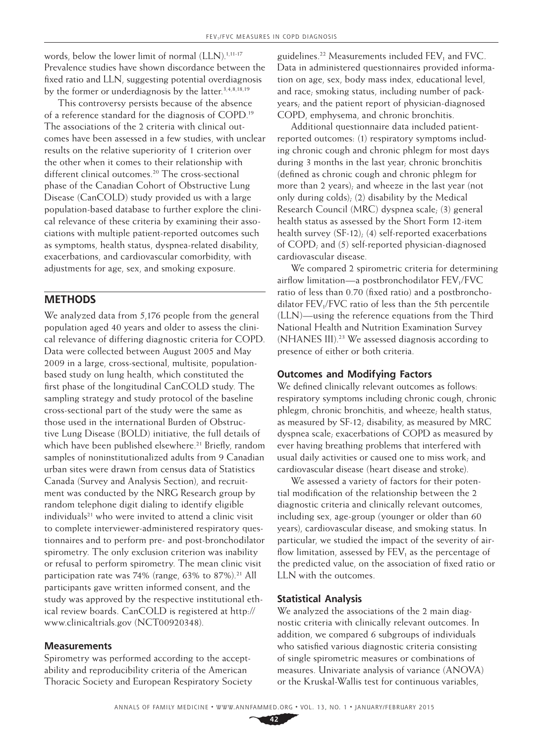words, below the lower limit of normal (LLN).<sup>1,11-17</sup> Prevalence studies have shown discordance between the fixed ratio and LLN, suggesting potential overdiagnosis by the former or underdiagnosis by the latter.<sup>3,4,8,18,19</sup>

This controversy persists because of the absence of a reference standard for the diagnosis of COPD.19 The associations of the 2 criteria with clinical outcomes have been assessed in a few studies, with unclear results on the relative superiority of 1 criterion over the other when it comes to their relationship with different clinical outcomes.<sup>20</sup> The cross-sectional phase of the Canadian Cohort of Obstructive Lung Disease (CanCOLD) study provided us with a large population-based database to further explore the clinical relevance of these criteria by examining their associations with multiple patient-reported outcomes such as symptoms, health status, dyspnea-related disability, exacerbations, and cardiovascular comorbidity, with adjustments for age, sex, and smoking exposure.

# **METHODS**

We analyzed data from 5,176 people from the general population aged 40 years and older to assess the clinical relevance of differing diagnostic criteria for COPD. Data were collected between August 2005 and May 2009 in a large, cross-sectional, multisite, populationbased study on lung health, which constituted the first phase of the longitudinal CanCOLD study. The sampling strategy and study protocol of the baseline cross-sectional part of the study were the same as those used in the international Burden of Obstructive Lung Disease (BOLD) initiative, the full details of which have been published elsewhere.<sup>21</sup> Briefly, random samples of noninstitutionalized adults from 9 Canadian urban sites were drawn from census data of Statistics Canada (Survey and Analysis Section), and recruitment was conducted by the NRG Research group by random telephone digit dialing to identify eligible individuals<sup>21</sup> who were invited to attend a clinic visit to complete interviewer-administered respiratory questionnaires and to perform pre- and post-bronchodilator spirometry. The only exclusion criterion was inability or refusal to perform spirometry. The mean clinic visit participation rate was 74% (range, 63% to 87%).<sup>21</sup> All participants gave written informed consent, and the study was approved by the respective institutional ethical review boards. CanCOLD is registered at http:// www.clinicaltrials.gov (NCT00920348).

## **Measurements**

Spirometry was performed according to the acceptability and reproducibility criteria of the American Thoracic Society and European Respiratory Society

guidelines.<sup>22</sup> Measurements included  $FEV<sub>1</sub>$  and FVC. Data in administered questionnaires provided information on age, sex, body mass index, educational level, and race; smoking status, including number of packyears; and the patient report of physician-diagnosed COPD, emphysema, and chronic bronchitis.

Additional questionnaire data included patientreported outcomes: (1) respiratory symptoms including chronic cough and chronic phlegm for most days during 3 months in the last year; chronic bronchitis (defined as chronic cough and chronic phlegm for more than 2 years); and wheeze in the last year (not only during colds); (2) disability by the Medical Research Council (MRC) dyspnea scale; (3) general health status as assessed by the Short Form 12-item health survey (SF-12); (4) self-reported exacerbations of COPD; and (5) self-reported physician-diagnosed cardiovascular disease.

We compared 2 spirometric criteria for determining airflow limitation—a postbronchodilator  $FEV<sub>1</sub>/FVC$ ratio of less than 0.70 (fixed ratio) and a postbronchodilator  $FEV<sub>1</sub>/FVC$  ratio of less than the 5th percentile (LLN)—using the reference equations from the Third National Health and Nutrition Examination Survey (NHANES III).23 We assessed diagnosis according to presence of either or both criteria.

### **Outcomes and Modifying Factors**

We defined clinically relevant outcomes as follows: respiratory symptoms including chronic cough, chronic phlegm, chronic bronchitis, and wheeze; health status, as measured by SF-12; disability, as measured by MRC dyspnea scale; exacerbations of COPD as measured by ever having breathing problems that interfered with usual daily activities or caused one to miss work; and cardiovascular disease (heart disease and stroke).

We assessed a variety of factors for their potential modification of the relationship between the 2 diagnostic criteria and clinically relevant outcomes, including sex, age-group (younger or older than 60 years), cardiovascular disease, and smoking status. In particular, we studied the impact of the severity of airflow limitation, assessed by  $FEV<sub>1</sub>$  as the percentage of the predicted value, on the association of fixed ratio or LLN with the outcomes.

## **Statistical Analysis**

We analyzed the associations of the 2 main diagnostic criteria with clinically relevant outcomes. In addition, we compared 6 subgroups of individuals who satisfied various diagnostic criteria consisting of single spirometric measures or combinations of measures. Univariate analysis of variance (ANOVA) or the Kruskal-Wallis test for continuous variables,

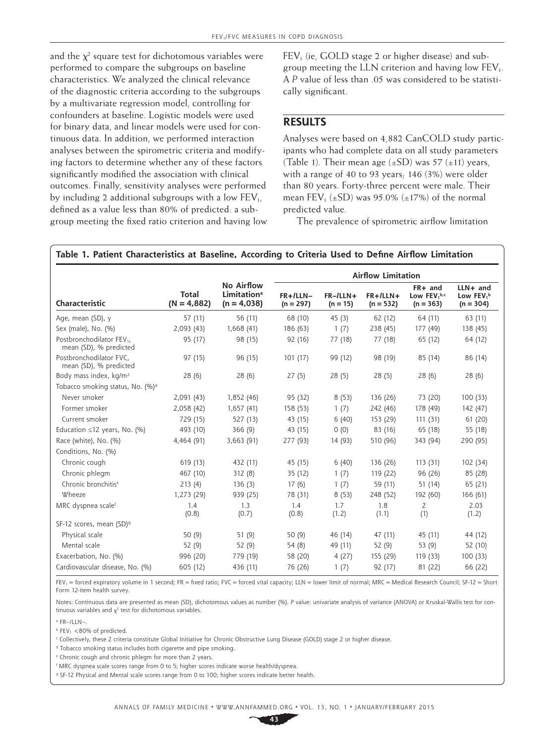and the  $\chi^2$  square test for dichotomous variables were performed to compare the subgroups on baseline characteristics. We analyzed the clinical relevance of the diagnostic criteria according to the subgroups by a multivariate regression model, controlling for confounders at baseline. Logistic models were used for binary data, and linear models were used for continuous data. In addition, we performed interaction analyses between the spirometric criteria and modifying factors to determine whether any of these factors significantly modified the association with clinical outcomes. Finally, sensitivity analyses were performed by including 2 additional subgroups with a low  $FEV<sub>1</sub>$ , defined as a value less than 80% of predicted: a subgroup meeting the fixed ratio criterion and having low

 $FEV<sub>1</sub>$  (ie, GOLD stage 2 or higher disease) and subgroup meeting the LLN criterion and having low  $FEV<sub>1</sub>$ . A *P* value of less than .05 was considered to be statistically significant.

# **RESULTS**

Analyses were based on 4,882 CanCOLD study participants who had complete data on all study parameters (Table 1). Their mean age  $(\pm SD)$  was 57  $(\pm 11)$  years, with a range of 40 to 93 years; 146 (3%) were older than 80 years. Forty-three percent were male. Their mean FEV<sub>1</sub> ( $\pm$ SD) was 95.0% ( $\pm$ 17%) of the normal predicted value.

The prevalence of spirometric airflow limitation

|                                                                 |                        |                                                               | <b>Airflow Limitation</b> |                             |                           |                                                    |                                                     |
|-----------------------------------------------------------------|------------------------|---------------------------------------------------------------|---------------------------|-----------------------------|---------------------------|----------------------------------------------------|-----------------------------------------------------|
| Characteristic                                                  | Total<br>$(N = 4,882)$ | No Airflow<br><b>Limitation</b> <sup>a</sup><br>$(n = 4,038)$ | $FR+/LLN-$<br>$(n = 297)$ | $FR - ILLN +$<br>$(n = 15)$ | $FR+/LLN+$<br>$(n = 532)$ | FR+ and<br>Low FEV <sub>1</sub> b,c<br>$(n = 363)$ | $LLN+$ and<br>Low FEV <sub>1</sub> b<br>$(n = 304)$ |
| Age, mean (SD), y                                               | 57 (11)                | 56 (11)                                                       | 68 (10)                   | 45(3)                       | 62 (12)                   | 64 (11)                                            | 63(11)                                              |
| Sex (male), No. (%)                                             | 2,093 (43)             | 1,668 (41)                                                    | 186 (63)                  | 1(7)                        | 238 (45)                  | 177 (49)                                           | 138 (45)                                            |
| Postbronchodilator FEV <sub>1</sub> ,<br>mean (SD), % predicted | 95 (17)                | 98 (15)                                                       | 92 (16)                   | 77 (18)                     | 77 (18)                   | 65 (12)                                            | 64 (12)                                             |
| Postbronchodilator FVC.<br>mean (SD), % predicted               | 97 (15)                | 96 (15)                                                       | 101(17)                   | 99 (12)                     | 98 (19)                   | 85 (14)                                            | 86 (14)                                             |
| Body mass index, kg/m <sup>2</sup>                              | 28(6)                  | 28(6)                                                         | 27(5)                     | 28(5)                       | 28(5)                     | 28(6)                                              | 28(6)                                               |
| Tobacco smoking status, No. (%)d                                |                        |                                                               |                           |                             |                           |                                                    |                                                     |
| Never smoker                                                    | 2,091 (43)             | 1,852 (46)                                                    | 95 (32)                   | 8(53)                       | 136 (26)                  | 73 (20)                                            | 100(33)                                             |
| Former smoker                                                   | 2,058 (42)             | 1,657 (41)                                                    | 158 (53)                  | 1(7)                        | 242 (46)                  | 178 (49)                                           | 142 (47)                                            |
| Current smoker                                                  | 729 (15)               | 527 (13)                                                      | 43 (15)                   | 6(40)                       | 153 (29)                  | 111(31)                                            | 61(20)                                              |
| Education $\leq 12$ years, No. (%)                              | 493 (10)               | 366(9)                                                        | 43 (15)                   | 0(0)                        | 83 (16)                   | 65 (18)                                            | 55 (18)                                             |
| Race (white), No. (%)                                           | 4,464 (91)             | 3,663 (91)                                                    | 277 (93)                  | 14 (93)                     | 510 (96)                  | 343 (94)                                           | 290 (95)                                            |
| Conditions, No. (%)                                             |                        |                                                               |                           |                             |                           |                                                    |                                                     |
| Chronic cough                                                   | 619 (13)               | 432 (11)                                                      | 45 (15)                   | 6(40)                       | 136 (26)                  | 113(31)                                            | 102 (34)                                            |
| Chronic phlegm                                                  | 467 (10)               | 312(8)                                                        | 35 (12)                   | 1(7)                        | 119 (22)                  | 96 (26)                                            | 85 (28)                                             |
| Chronic bronchitis <sup>e</sup>                                 | 213(4)                 | 136(3)                                                        | 17(6)                     | 1(7)                        | 59 (11)                   | 51 (14)                                            | 65 (21)                                             |
| Wheeze                                                          | 1,273 (29)             | 939 (25)                                                      | 78 (31)                   | 8(53)                       | 248 (52)                  | 192 (60)                                           | 166 (61)                                            |
| MRC dyspnea scalef                                              | 1.4<br>(0.8)           | 1.3<br>(0.7)                                                  | 1.4<br>(0.8)              | 1.7<br>(1.2)                | 1.8<br>(1.1)              | 2<br>(1)                                           | 2.03<br>(1.2)                                       |
| SF-12 scores, mean (SD) <sup>9</sup>                            |                        |                                                               |                           |                             |                           |                                                    |                                                     |
| Physical scale                                                  | 50(9)                  | 51(9)                                                         | 50(9)                     | 46 (14)                     | 47 (11)                   | 45 (11)                                            | 44 (12)                                             |
| Mental scale                                                    | 52 (9)                 | 52 (9)                                                        | 54 (8)                    | 49 (11)                     | 52 (9)                    | 53(9)                                              | 52 (10)                                             |
| Exacerbation, No. (%)                                           | 996 (20)               | 779 (19)                                                      | 58 (20)                   | 4(27)                       | 155 (29)                  | 119 (33)                                           | 100 (33)                                            |
| Cardiovascular disease, No. (%)                                 | 605 (12)               | 436 (11)                                                      | 76 (26)                   | 1(7)                        | 92 (17)                   | 81 (22)                                            | 66 (22)                                             |

#### **Table 1. Patient Characteristics at Baseline, According to Criteria Used to Define Airflow Limitation**

 $FEV_1$  = forced expiratory volume in 1 second; FR = fixed ratio; FVC = forced vital capacity; LLN = lower limit of normal; MRC = Medical Research Council; SF-12 = Short Form 12-item health survey.

Notes: Continuous data are presented as mean (SD), dichotomous values as number (%). *P* value: univariate analysis of variance (ANOVA) or Kruskal-Wallis test for continuous variables and  $x^2$  test for dichotomous variables.

a FR–/LLN–.

 $b$  FFV<sub>1</sub> <80% of predicted.

c Collectively, these 2 criteria constitute Global Initiative for Chronic Obstructive Lung Disease (GOLD) stage 2 or higher disease.

d Tobacco smoking status includes both cigarette and pipe smoking.

e Chronic cough and chronic phlegm for more than 2 years.

f MRC dyspnea scale scores range from 0 to 5; higher scores indicate worse health/dyspnea.

g SF-12 Physical and Mental scale scores range from 0 to 100; higher scores indicate better health.

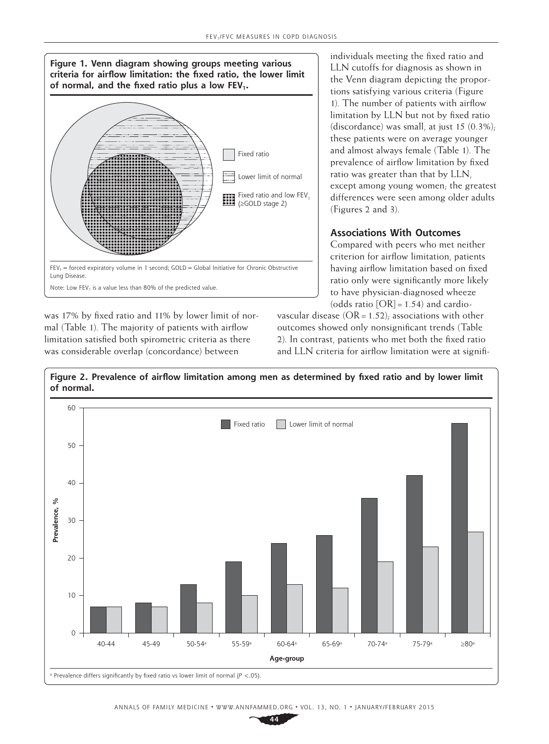

was 17% by fixed ratio and 11% by lower limit of normal (Table 1). The majority of patients with airflow limitation satisfied both spirometric criteria as there was considerable overlap (concordance) between

individuals meeting the fixed ratio and LLN cutoffs for diagnosis as shown in the Venn diagram depicting the proportions satisfying various criteria (Figure 1). The number of patients with airflow limitation by LLN but not by fixed ratio (discordance) was small, at just 15  $(0.3\%)$ ; these patients were on average younger and almost always female (Table 1). The prevalence of airflow limitation by fixed ratio was greater than that by LLN, except among young women; the greatest differences were seen among older adults (Figures 2 and 3).

# **Associations With Outcomes**

Compared with peers who met neither criterion for airflow limitation, patients having airflow limitation based on fixed ratio only were significantly more likely to have physician-diagnosed wheeze (odds ratio  $[OR] = 1.54$ ) and cardio-

vascular disease  $(OR = 1.52)$ ; associations with other outcomes showed only nonsignificant trends (Table 2). In contrast, patients who met both the fixed ratio and LLN criteria for airflow limitation were at signifi-



**Figure 2. Prevalence of airflow limitation among men as determined by fixed ratio and by lower limit of normal.**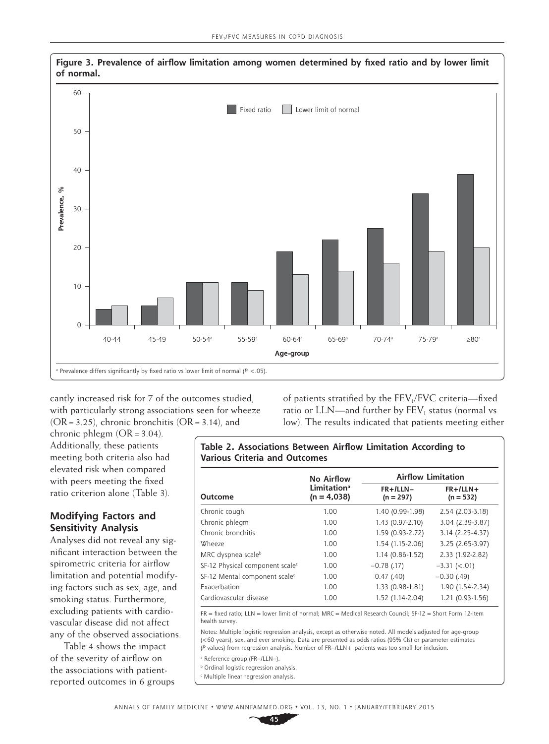

**Figure 3. Prevalence of airflow limitation among women determined by fixed ratio and by lower limit of normal.**

cantly increased risk for 7 of the outcomes studied, with particularly strong associations seen for wheeze  $(OR = 3.25)$ , chronic bronchitis  $(OR = 3.14)$ , and

of patients stratified by the  $FEV<sub>1</sub>/FVC$  criteria—fixed ratio or  $LLN$ —and further by  $FEV_1$  status (normal vs low). The results indicated that patients meeting either

chronic phlegm  $(OR = 3.04)$ . Additionally, these patients meeting both criteria also had elevated risk when compared with peers meeting the fixed ratio criterion alone (Table 3).

# **Modifying Factors and Sensitivity Analysis**

Analyses did not reveal any significant interaction between the spirometric criteria for airflow limitation and potential modifying factors such as sex, age, and smoking status. Furthermore, excluding patients with cardiovascular disease did not affect any of the observed associations.

Table 4 shows the impact of the severity of airflow on the associations with patientreported outcomes in 6 groups **Table 2. Associations Between Airflow Limitation According to Various Criteria and Outcomes**

|                                             | No Airflow                               | <b>Airflow Limitation</b> |                           |  |  |
|---------------------------------------------|------------------------------------------|---------------------------|---------------------------|--|--|
| Outcome                                     | Limitation <sup>a</sup><br>$(n = 4,038)$ | $FR+/LLN-$<br>$(n = 297)$ | $FR+/LLN+$<br>$(n = 532)$ |  |  |
| Chronic cough                               | 1.00                                     | 1.40 (0.99-1.98)          | 2.54 (2.03-3.18)          |  |  |
| Chronic phlegm                              | 1.00                                     | 1.43 (0.97-2.10)          | 3.04 (2.39-3.87)          |  |  |
| Chronic bronchitis                          | 1.00                                     | 1.59 (0.93-2.72)          | 3.14 (2.25-4.37)          |  |  |
| Wheeze                                      | 1.00                                     | 1.54 (1.15-2.06)          | 3.25 (2.65-3.97)          |  |  |
| MRC dyspnea scale <sup>b</sup>              | 1.00                                     | $1.14(0.86 - 1.52)$       | 2.33 (1.92-2.82)          |  |  |
| SF-12 Physical component scale <sup>c</sup> | 1.00                                     | $-0.78$ (.17)             | $-3.31$ ( $< .01$ )       |  |  |
| SF-12 Mental component scale <sup>c</sup>   | 1.00                                     | 0.47(0.40)                | $-0.30$ (.49)             |  |  |
| Exacerbation                                | 1.00                                     | 1.33 (0.98-1.81)          | 1.90 (1.54-2.34)          |  |  |
| Cardiovascular disease                      | 1.00                                     | 1.52 (1.14-2.04)          | 1.21 (0.93-1.56)          |  |  |

 $FR = fixed$  ratio; LLN = lower limit of normal; MRC = Medical Research Council; SF-12 = Short Form 12-item health survey.

Notes: Multiple logistic regression analysis, except as otherwise noted. All models adjusted for age-group (<60 years), sex, and ever smoking. Data are presented as odds ratios (95% CIs) or parameter estimates (*P* values) from regression analysis. Number of FR–/LLN+ patients was too small for inclusion.

a Reference group (FR–/LLN–).

**b** Ordinal logistic regression analysis.

c Multiple linear regression analysis.

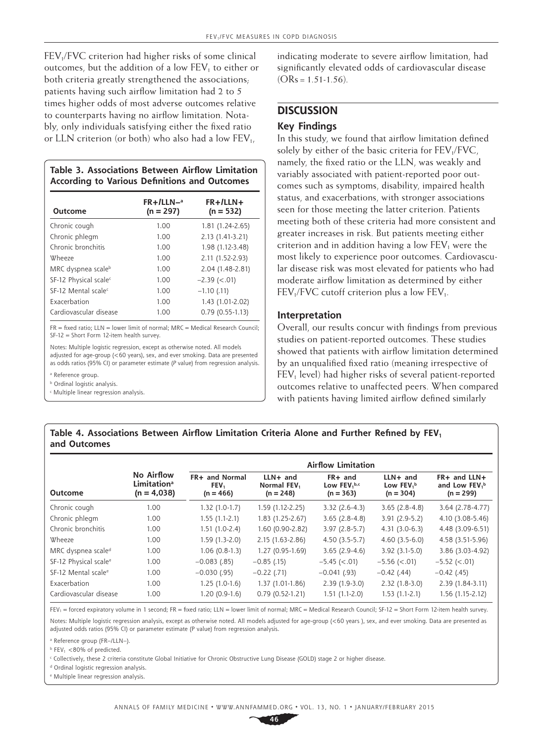FEV<sub>1</sub>/FVC criterion had higher risks of some clinical outcomes, but the addition of a low  $FEV<sub>1</sub>$  to either or both criteria greatly strengthened the associations; patients having such airflow limitation had 2 to 5 times higher odds of most adverse outcomes relative to counterparts having no airflow limitation. Notably, only individuals satisfying either the fixed ratio or LLN criterion (or both) who also had a low  $FEV_{1}$ ,

**Table 3. Associations Between Airflow Limitation According to Various Definitions and Outcomes**

| Outcome                           | $FR+/LLN-a$<br>$(n = 297)$ | $FR+1LLN+$<br>$(n = 532)$ |
|-----------------------------------|----------------------------|---------------------------|
| Chronic cough                     | 1.00                       | 1.81 (1.24-2.65)          |
| Chronic phlegm                    | 1.00                       | 2.13 (1.41-3.21)          |
| Chronic bronchitis                | 1.00                       | 1.98 (1.12-3.48)          |
| Wheeze                            | 1.00                       | 2.11 (1.52-2.93)          |
| MRC dyspnea scaleb                | 1.00                       | 2.04 (1.48-2.81)          |
| SF-12 Physical scale <sup>c</sup> | 1.00                       | $-2.39$ ( $< .01$ )       |
| SE-12 Mental scale <sup>c</sup>   | 1.00                       | $-1.10$ (.11)             |
| Exacerbation                      | 1.00                       | 1.43 (1.01-2.02)          |
| Cardiovascular disease            | 1.00                       | $0.79(0.55-1.13)$         |

 $FR = fixed$  ratio; LLN = lower limit of normal; MRC = Medical Research Council;  $SF-12 = Short Form 12$ -item health survey.

Notes: Multiple logistic regression, except as otherwise noted. All models adjusted for age-group (<60 years), sex, and ever smoking. Data are presented as odds ratios (95% CI) or parameter estimate (*P* value) from regression analysis.

a Reference group.

**b** Ordinal logistic analysis.

c Multiple linear regression analysis.

indicating moderate to severe airflow limitation, had significantly elevated odds of cardiovascular disease  $(ORs = 1.51-1.56)$ .

# **DISCUSSION**

## **Key Findings**

In this study, we found that airflow limitation defined solely by either of the basic criteria for  $FEV<sub>1</sub>/FVC$ , namely, the fixed ratio or the LLN, was weakly and variably associated with patient-reported poor outcomes such as symptoms, disability, impaired health status, and exacerbations, with stronger associations seen for those meeting the latter criterion. Patients meeting both of these criteria had more consistent and greater increases in risk. But patients meeting either criterion and in addition having a low  $FEV<sub>1</sub>$  were the most likely to experience poor outcomes. Cardiovascular disease risk was most elevated for patients who had moderate airflow limitation as determined by either  $FEV<sub>1</sub>/FVC$  cutoff criterion plus a low  $FEV<sub>1</sub>$ .

#### **Interpretation**

Overall, our results concur with findings from previous studies on patient-reported outcomes. These studies showed that patients with airflow limitation determined by an unqualified fixed ratio (meaning irrespective of  $FEV<sub>1</sub>$  level) had higher risks of several patient-reported outcomes relative to unaffected peers. When compared with patients having limited airflow defined similarly

## Table 4. Associations Between Airflow Limitation Criteria Alone and Further Refined by FEV<sub>1</sub> **and Outcomes**

|                                   |                                                               | <b>Airflow Limitation</b>             |                                                      |                                                     |                                                     |                                                           |  |
|-----------------------------------|---------------------------------------------------------------|---------------------------------------|------------------------------------------------------|-----------------------------------------------------|-----------------------------------------------------|-----------------------------------------------------------|--|
| <b>Outcome</b>                    | No Airflow<br><b>Limitation</b> <sup>a</sup><br>$(n = 4,038)$ | FR+ and Normal<br>FEV.<br>$(n = 466)$ | $LLN+$ and<br>Normal FEV <sub>1</sub><br>$(n = 248)$ | FR+ and<br>Low $FEV1$ <sub>b,c</sub><br>$(n = 363)$ | $LLN+$ and<br>Low FEV <sub>1</sub> b<br>$(n = 304)$ | FR+ and LLN+<br>and Low FEV <sub>1</sub> b<br>$(n = 299)$ |  |
| Chronic cough                     | 1.00                                                          | $1.32(1.0-1.7)$                       | 1.59 (1.12-2.25)                                     | $3.32(2.6-4.3)$                                     | $3.65(2.8-4.8)$                                     | 3.64 (2.78-4.77)                                          |  |
| Chronic phlegm                    | 1.00                                                          | $1.55(1.1-2.1)$                       | $1.83(1.25-2.67)$                                    | $3.65(2.8-4.8)$                                     | $3.91(2.9-5.2)$                                     | 4.10 (3.08-5.46)                                          |  |
| Chronic bronchitis                | 1.00                                                          | $1.51(1.0-2.4)$                       | 1.60 (0.90-2.82)                                     | $3.97(2.8-5.7)$                                     | $4.31(3.0-6.3)$                                     | 4.48 (3.09-6.51)                                          |  |
| Wheeze                            | 1.00                                                          | $1.59(1.3-2.0)$                       | 2.15 (1.63-2.86)                                     | $4.50(3.5-5.7)$                                     | $4.60(3.5-6.0)$                                     | 4.58 (3.51-5.96)                                          |  |
| MRC dyspnea scale <sup>d</sup>    | 1.00                                                          | $1.06(0.8-1.3)$                       | 1.27 (0.95-1.69)                                     | $3.65(2.9-4.6)$                                     | $3.92(3.1-5.0)$                                     | 3.86 (3.03-4.92)                                          |  |
| SF-12 Physical scale <sup>e</sup> | 1.00                                                          | $-0.083(0.85)$                        | $-0.85$ (.15)                                        | $-5.45 (< 0.01)$                                    | $-5.56$ ( $< .01$ )                                 | $-5.52$ (<.01)                                            |  |
| SF-12 Mental scale <sup>e</sup>   | 1.00                                                          | $-0.030(0.95)$                        | $-0.22$ (.71)                                        | $-0.041(0.93)$                                      | $-0.42$ (.44)                                       | $-0.42$ (.45)                                             |  |
| Exacerbation                      | 1.00                                                          | $1.25(1.0-1.6)$                       | 1.37 (1.01-1.86)                                     | $2.39(1.9-3.0)$                                     | $2.32(1.8-3.0)$                                     | 2.39 (1.84-3.11)                                          |  |
| Cardiovascular disease            | 1.00                                                          | $1.20(0.9-1.6)$                       | $0.79(0.52-1.21)$                                    | $1.51(1.1-2.0)$                                     | $1.53(1.1-2.1)$                                     | $1.56(1.15-2.12)$                                         |  |

 $FEV_1$  = forced expiratory volume in 1 second; FR = fixed ratio; LLN = lower limit of normal; MRC = Medical Research Council; SF-12 = Short Form 12-item health survey. Notes: Multiple logistic regression analysis, except as otherwise noted. All models adjusted for age-group (<60 years ), sex, and ever smoking. Data are presented as

adjusted odds ratios (95% CI) or parameter estimate (P value) from regression analysis.

a Reference group (FR–/LLN–).

 $b$  FFV<sub>1</sub> <80% of predicted.

c Collectively, these 2 criteria constitute Global Initiative for Chronic Obstructive Lung Disease (GOLD) stage 2 or higher disease.

<sup>d</sup> Ordinal logistic regression analysis.

e Multiple linear regression analysis.

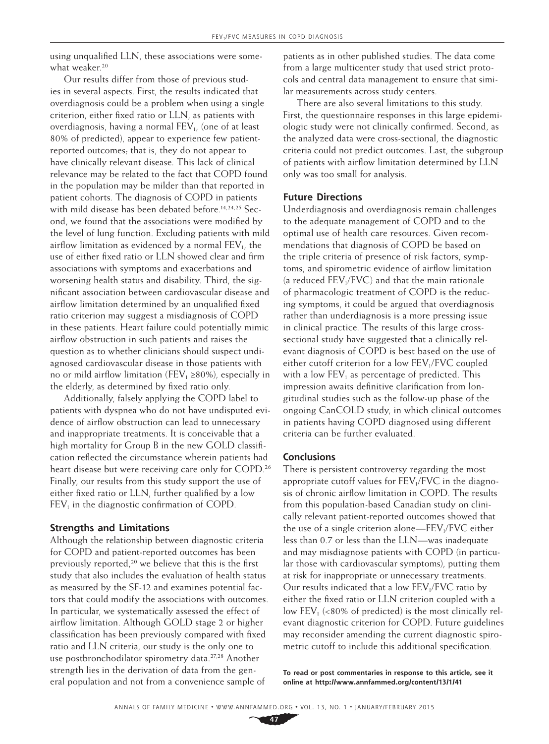using unqualified LLN, these associations were somewhat weaker.<sup>20</sup>

Our results differ from those of previous studies in several aspects. First, the results indicated that overdiagnosis could be a problem when using a single criterion, either fixed ratio or LLN, as patients with overdiagnosis, having a normal FEV<sub>1</sub>, (one of at least 80% of predicted), appear to experience few patientreported outcomes; that is, they do not appear to have clinically relevant disease. This lack of clinical relevance may be related to the fact that COPD found in the population may be milder than that reported in patient cohorts. The diagnosis of COPD in patients with mild disease has been debated before.<sup>14,24,25</sup> Second, we found that the associations were modified by the level of lung function. Excluding patients with mild airflow limitation as evidenced by a normal  $FEV<sub>1</sub>$ , the use of either fixed ratio or LLN showed clear and firm associations with symptoms and exacerbations and worsening health status and disability. Third, the significant association between cardiovascular disease and airflow limitation determined by an unqualified fixed ratio criterion may suggest a misdiagnosis of COPD in these patients. Heart failure could potentially mimic airflow obstruction in such patients and raises the question as to whether clinicians should suspect undiagnosed cardiovascular disease in those patients with no or mild airflow limitation (FEV<sub>1</sub> ≥80%), especially in the elderly, as determined by fixed ratio only.

Additionally, falsely applying the COPD label to patients with dyspnea who do not have undisputed evidence of airflow obstruction can lead to unnecessary and inappropriate treatments. It is conceivable that a high mortality for Group B in the new GOLD classification reflected the circumstance wherein patients had heart disease but were receiving care only for COPD.<sup>26</sup> Finally, our results from this study support the use of either fixed ratio or LLN, further qualified by a low  $FEV<sub>1</sub>$  in the diagnostic confirmation of COPD.

### **Strengths and Limitations**

Although the relationship between diagnostic criteria for COPD and patient-reported outcomes has been previously reported,<sup>20</sup> we believe that this is the first study that also includes the evaluation of health status as measured by the SF-12 and examines potential factors that could modify the associations with outcomes. In particular, we systematically assessed the effect of airflow limitation. Although GOLD stage 2 or higher classification has been previously compared with fixed ratio and LLN criteria, our study is the only one to use postbronchodilator spirometry data.27,28 Another strength lies in the derivation of data from the general population and not from a convenience sample of

patients as in other published studies. The data come from a large multicenter study that used strict protocols and central data management to ensure that similar measurements across study centers.

There are also several limitations to this study. First, the questionnaire responses in this large epidemiologic study were not clinically confirmed. Second, as the analyzed data were cross-sectional, the diagnostic criteria could not predict outcomes. Last, the subgroup of patients with airflow limitation determined by LLN only was too small for analysis.

#### **Future Directions**

Underdiagnosis and overdiagnosis remain challenges to the adequate management of COPD and to the optimal use of health care resources. Given recommendations that diagnosis of COPD be based on the triple criteria of presence of risk factors, symptoms, and spirometric evidence of airflow limitation (a reduced  $FEV<sub>1</sub>/FVC$ ) and that the main rationale of pharmacologic treatment of COPD is the reducing symptoms, it could be argued that overdiagnosis rather than underdiagnosis is a more pressing issue in clinical practice. The results of this large crosssectional study have suggested that a clinically relevant diagnosis of COPD is best based on the use of either cutoff criterion for a low  $FEV<sub>1</sub>/FVC$  coupled with a low  $FEV<sub>1</sub>$  as percentage of predicted. This impression awaits definitive clarification from longitudinal studies such as the follow-up phase of the ongoing CanCOLD study, in which clinical outcomes in patients having COPD diagnosed using different criteria can be further evaluated.

#### **Conclusions**

There is persistent controversy regarding the most appropriate cutoff values for  $FEV<sub>1</sub>/FVC$  in the diagnosis of chronic airflow limitation in COPD. The results from this population-based Canadian study on clinically relevant patient-reported outcomes showed that the use of a single criterion alone—FEV<sub>1</sub>/FVC either less than 0.7 or less than the LLN—was inadequate and may misdiagnose patients with COPD (in particular those with cardiovascular symptoms), putting them at risk for inappropriate or unnecessary treatments. Our results indicated that a low  $FEV<sub>1</sub>/FVC$  ratio by either the fixed ratio or LLN criterion coupled with a low  $FEV<sub>1</sub>$  (<80% of predicted) is the most clinically relevant diagnostic criterion for COPD. Future guidelines may reconsider amending the current diagnostic spirometric cutoff to include this additional specification.

**To read or post commentaries in response to this article, see it online at http://www.annfammed.org/content/13/1/41**